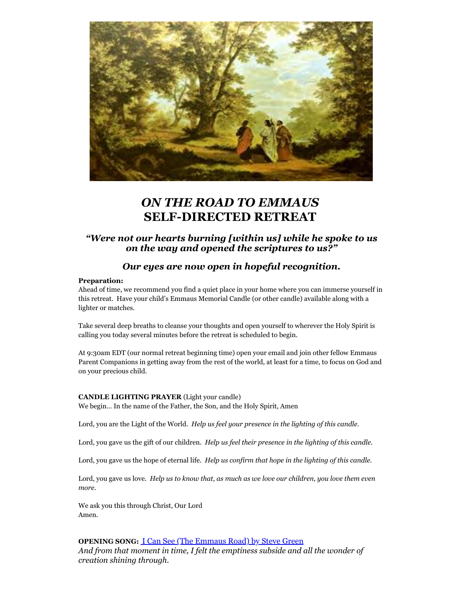

# *ON THE ROAD TO EMMAUS*  **SELF-DIRECTED RETREAT**

# *"Were not our hearts burning [within us] while he spoke to us on the way and opened the scriptures to us?"*

# *Our eyes are now open in hopeful recognition.*

#### **Preparation:**

Ahead of time, we recommend you find a quiet place in your home where you can immerse yourself in this retreat. Have your child's Emmaus Memorial Candle (or other candle) available along with a lighter or matches.

Take several deep breaths to cleanse your thoughts and open yourself to wherever the Holy Spirit is calling you today several minutes before the retreat is scheduled to begin.

At 9:30am EDT (our normal retreat beginning time) open your email and join other fellow Emmaus Parent Companions in getting away from the rest of the world, at least for a time, to focus on God and on your precious child.

#### **CANDLE LIGHTING PRAYER** (Light your candle)

We begin… In the name of the Father, the Son, and the Holy Spirit, Amen

Lord, you are the Light of the World. *Help us feel your presence in the lighting of this candle.*

Lord, you gave us the gift of our children. *Help us feel their presence in the lighting of this candle.*

Lord, you gave us the hope of eternal life. *Help us confirm that hope in the lighting of this candle.*

Lord, you gave us love. *Help us to know that, as much as we love our children, you love them even more.*

We ask you this through Christ, Our Lord Amen.

**OPENING SONG: [I Can See \(The Emmaus Road\) by Steve Green](https://list-manage.agle1.cc/click?u=https%3A%2F%2Fwww.youtube.com%2Fwatch%3Fv%3DcOHrapKFmIU&c=5032896079921152&s=5741004535627776&ns=emfgp)** *And from that moment in time, I felt the emptiness subside and all the wonder of creation shining through.*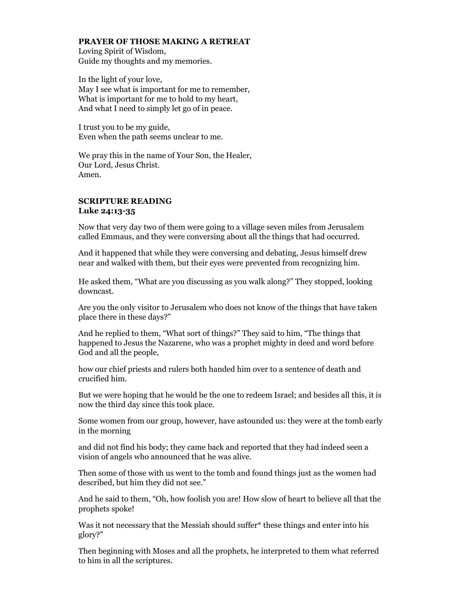## **PRAYER OF THOSE MAKING A RETREAT**

Loving Spirit of Wisdom, Guide my thoughts and my memories.

In the light of your love, May I see what is important for me to remember, What is important for me to hold to my heart, And what I need to simply let go of in peace.

I trust you to be my guide, Even when the path seems unclear to me.

We pray this in the name of Your Son, the Healer, Our Lord, Jesus Christ. Amen.

## **SCRIPTURE READING Luke 24:13-35**

Now that very day two of them were going to a village seven miles from Jerusalem called Emmaus, and they were conversing about all the things that had occurred.

And it happened that while they were conversing and debating, Jesus himself drew near and walked with them, but their eyes were prevented from recognizing him.

He asked them, "What are you discussing as you walk along?" They stopped, looking downcast.

Are you the only visitor to Jerusalem who does not know of the things that have taken place there in these days?"

And he replied to them, "What sort of things?" They said to him, "The things that happened to Jesus the Nazarene, who was a prophet mighty in deed and word before God and all the people,

how our chief priests and rulers both handed him over to a sentence of death and crucified him.

But we were hoping that he would be the one to redeem Israel; and besides all this, it is now the third day since this took place.

Some women from our group, however, have astounded us: they were at the tomb early in the morning

and did not find his body; they came back and reported that they had indeed seen a vision of angels who announced that he was alive.

Then some of those with us went to the tomb and found things just as the women had described, but him they did not see."

And he said to them, "Oh, how foolish you are! How slow of heart to believe all that the prophets spoke!

Was it not necessary that the Messiah should suffer\* these things and enter into his glory?"

Then beginning with Moses and all the prophets, he interpreted to them what referred to him in all the scriptures.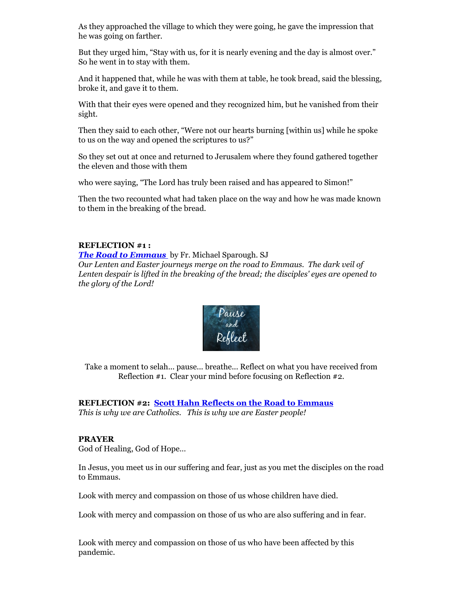As they approached the village to which they were going, he gave the impression that he was going on farther.

But they urged him, "Stay with us, for it is nearly evening and the day is almost over." So he went in to stay with them.

And it happened that, while he was with them at table, he took bread, said the blessing, broke it, and gave it to them.

With that their eyes were opened and they recognized him, but he vanished from their sight.

Then they said to each other, "Were not our hearts burning [within us] while he spoke to us on the way and opened the scriptures to us?"

So they set out at once and returned to Jerusalem where they found gathered together the eleven and those with them

who were saying, "The Lord has truly been raised and has appeared to Simon!"

Then the two recounted what had taken place on the way and how he was made known to them in the breaking of the bread.

## **REFLECTION #1 :**

*[The Road to Emmaus](https://list-manage.agle1.cc/click?u=https%3A%2F%2Fwww.youtube.com%2Fwatch%3Fv%3DV16y87M0wqY&c=5032896079921152&s=5741004535627776&ns=emfgp)* by Fr. Michael Sparough. SJ *Our Lenten and Easter journeys merge on the road to Emmaus. The dark veil of Lenten despair is lifted in the breaking of the bread; the disciples' eyes are opened to the glory of the Lord!* 



Take a moment to selah... pause... breathe... Reflect on what you have received from Reflection #1. Clear your mind before focusing on Reflection #2.

**REFLECTION #2: [Scott Hahn Reflects on the Road to Emmaus](https://list-manage.agle1.cc/click?u=https%3A%2F%2Fwww.youtube.com%2Fwatch%3Fapp%3Ddesktop%26v%3Djw6ysdmFn3I&c=5032896079921152&s=5741004535627776&ns=emfgp)** *This is why we are Catholics. This is why we are Easter people!*

#### **PRAYER**

God of Healing, God of Hope…

In Jesus, you meet us in our suffering and fear, just as you met the disciples on the road to Emmaus.

Look with mercy and compassion on those of us whose children have died.

Look with mercy and compassion on those of us who are also suffering and in fear.

Look with mercy and compassion on those of us who have been affected by this pandemic.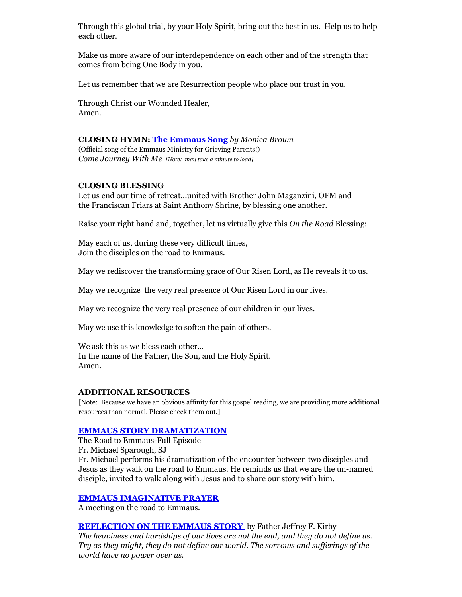Through this global trial, by your Holy Spirit, bring out the best in us. Help us to help each other.

Make us more aware of our interdependence on each other and of the strength that comes from being One Body in you.

Let us remember that we are Resurrection people who place our trust in you.

Through Christ our Wounded Healer, Amen.

#### **CLOSING HYMN: [The Emmaus Song](https://list-manage.agle1.cc/click?u=https%3A%2F%2Fwww.youtube.com%2Fwatch%3Fv%3DdQXWyRcNABs&c=5032896079921152&s=5741004535627776&ns=emfgp)** *by Monica Brown*

(Official song of the Emmaus Ministry for Grieving Parents!) *Come Journey With Me [Note: may take a minute to load]*

## **CLOSING BLESSING**

Let us end our time of retreat...united with Brother John Maganzini, OFM and the Franciscan Friars at Saint Anthony Shrine, by blessing one another.

Raise your right hand and, together, let us virtually give this *On the Road* Blessing:

May each of us, during these very difficult times, Join the disciples on the road to Emmaus.

May we rediscover the transforming grace of Our Risen Lord, as He reveals it to us.

May we recognize the very real presence of Our Risen Lord in our lives.

May we recognize the very real presence of our children in our lives.

May we use this knowledge to soften the pain of others.

We ask this as we bless each other... In the name of the Father, the Son, and the Holy Spirit. Amen.

#### **ADDITIONAL RESOURCES**

[Note: Because we have an obvious affinity for this gospel reading, we are providing more additional resources than normal. Please check them out.]

## **[EMMAUS STORY DRAMATIZATION](https://list-manage.agle1.cc/click?u=https%3A%2F%2Fwww.youtube.com%2Fwatch%3Fv%3D0qehAW0OlmU%26feature%3Demb_rel_end&c=5032896079921152&s=5741004535627776&ns=emfgp)**

The Road to Emmaus-Full Episode Fr. Michael Sparough, SJ Fr. Michael performs his dramatization of the encounter between two disciples and Jesus as they walk on the road to Emmaus. He reminds us that we are the un-named disciple, invited to walk along with Jesus and to share our story with him.

#### **[EMMAUS IMAGINATIVE PRAYER](https://list-manage.agle1.cc/click?u=https%3A%2F%2Fwww.emfgp.org%2Fwp-content%2Fuploads%2F2020%2F04%2FOn-the-Road-to-Emmaus-Imaginative-Prayer.pdf&c=5032896079921152&s=5741004535627776&ns=emfgp)**

A meeting on the road to Emmaus.

**[REFLECTION ON THE EMMAUS STORY](https://list-manage.agle1.cc/click?u=https%3A%2F%2Fcruxnow.com%2Fcommentary%2F2021%2F04%2Faccount-of-disciples-on-way-to-emmaus-a-treasure-chest-of-divine-truths%2F&c=5032896079921152&s=5741004535627776&ns=emfgp)** by Father Jeffrey F. Kirby *The heaviness and hardships of our lives are not the end, and they do not define us.*

*Try as they might, they do not define our world. The sorrows and sufferings of the world have no power over us.*